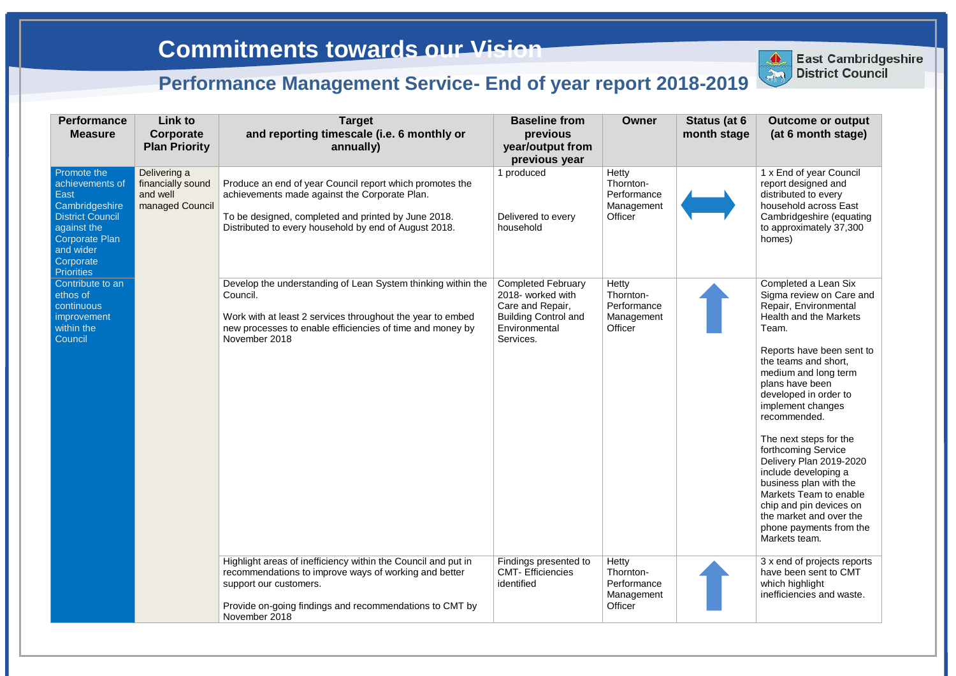| <b>Performance</b><br><b>Measure</b>                                                                                                           | Link to<br>Corporate<br><b>Plan Priority</b>                     | <b>Target</b><br>and reporting timescale (i.e. 6 monthly or<br>annually)                                                                                                                                                     | <b>Baseline from</b><br>previous<br>year/output from<br>previous year                                                           | <b>Owner</b>                                               | Status (at 6<br>month stage | <b>Outcome or output</b><br>(at 6 month stage)                                                                                                                                                                                                                                                                                                                                                                                                                                                                                       |
|------------------------------------------------------------------------------------------------------------------------------------------------|------------------------------------------------------------------|------------------------------------------------------------------------------------------------------------------------------------------------------------------------------------------------------------------------------|---------------------------------------------------------------------------------------------------------------------------------|------------------------------------------------------------|-----------------------------|--------------------------------------------------------------------------------------------------------------------------------------------------------------------------------------------------------------------------------------------------------------------------------------------------------------------------------------------------------------------------------------------------------------------------------------------------------------------------------------------------------------------------------------|
| Promote the<br>achievements of<br>East<br>Cambridgeshire<br><b>District Council</b><br>against the<br>Corporate Plan<br>and wider<br>Corporate | Delivering a<br>financially sound<br>and well<br>managed Council | Produce an end of year Council report which promotes the<br>achievements made against the Corporate Plan.<br>To be designed, completed and printed by June 2018.<br>Distributed to every household by end of August 2018.    | 1 produced<br>Delivered to every<br>household                                                                                   | Hetty<br>Thornton-<br>Performance<br>Management<br>Officer |                             | 1 x End of year Council<br>report designed and<br>distributed to every<br>household across East<br>Cambridgeshire (equating<br>to approximately 37,300<br>homes)                                                                                                                                                                                                                                                                                                                                                                     |
| <b>Priorities</b><br>Contribute to an<br>ethos of<br>continuous<br>improvement<br>within the<br>Council                                        |                                                                  | Develop the understanding of Lean System thinking within the<br>Council.<br>Work with at least 2 services throughout the year to embed<br>new processes to enable efficiencies of time and money by<br>November 2018         | <b>Completed February</b><br>2018- worked with<br>Care and Repair,<br><b>Building Control and</b><br>Environmental<br>Services. | Hetty<br>Thornton-<br>Performance<br>Management<br>Officer |                             | Completed a Lean Six<br>Sigma review on Care and<br>Repair, Environmental<br>Health and the Markets<br>Team.<br>Reports have been sent to<br>the teams and short,<br>medium and long term<br>plans have been<br>developed in order to<br>implement changes<br>recommended.<br>The next steps for the<br>forthcoming Service<br>Delivery Plan 2019-2020<br>include developing a<br>business plan with the<br>Markets Team to enable<br>chip and pin devices on<br>the market and over the<br>phone payments from the<br>Markets team. |
|                                                                                                                                                |                                                                  | Highlight areas of inefficiency within the Council and put in<br>recommendations to improve ways of working and better<br>support our customers.<br>Provide on-going findings and recommendations to CMT by<br>November 2018 | Findings presented to<br><b>CMT-Efficiencies</b><br>identified                                                                  | Hetty<br>Thornton-<br>Performance<br>Management<br>Officer |                             | 3 x end of projects reports<br>have been sent to CMT<br>which highlight<br>inefficiencies and waste.                                                                                                                                                                                                                                                                                                                                                                                                                                 |



**East Cambridgeshire District Council**

**East Cambridgeshire** 

## **Performance Management Service- End of year report 2018-2019**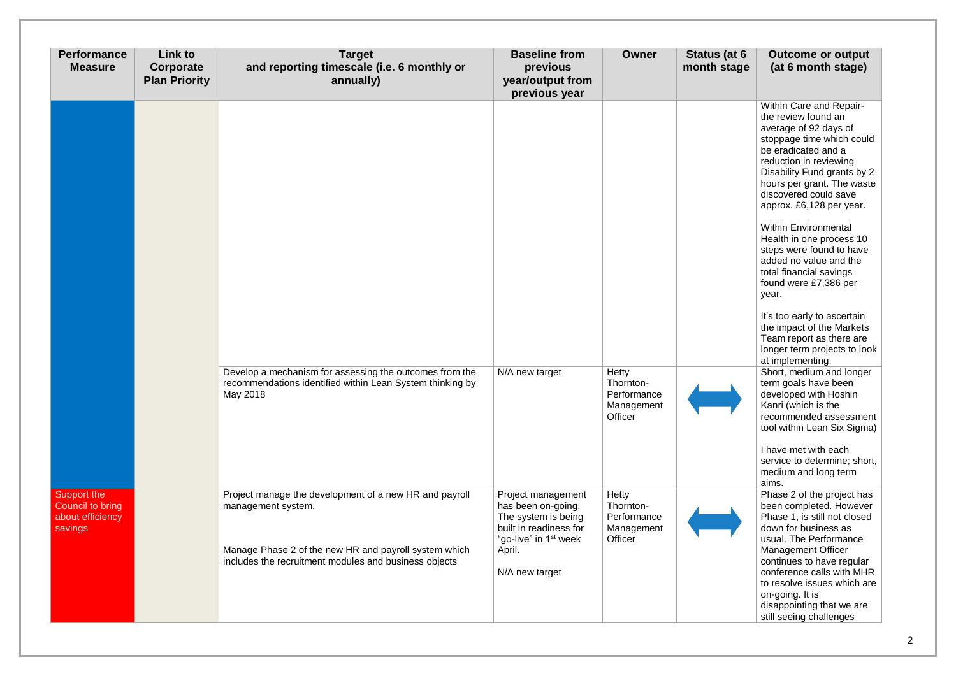| <b>Performance</b><br><b>Measure</b>                           | <b>Link to</b><br>Corporate<br><b>Plan Priority</b> | <b>Target</b><br>and reporting timescale (i.e. 6 monthly or<br>annually)                                                         | <b>Baseline from</b><br>previous<br>year/output from<br>previous year                                                          | <b>Owner</b>                                               | Status (at 6<br>month stage | <b>Outcome or output</b><br>(at 6 month stage)                                                                                                                                                                                                                          |
|----------------------------------------------------------------|-----------------------------------------------------|----------------------------------------------------------------------------------------------------------------------------------|--------------------------------------------------------------------------------------------------------------------------------|------------------------------------------------------------|-----------------------------|-------------------------------------------------------------------------------------------------------------------------------------------------------------------------------------------------------------------------------------------------------------------------|
|                                                                |                                                     |                                                                                                                                  |                                                                                                                                |                                                            |                             | Within Care and Repair-<br>the review found an<br>average of 92 days of<br>stoppage time which could<br>be eradicated and a<br>reduction in reviewing<br>Disability Fund grants by 2<br>hours per grant. The waste<br>discovered could save<br>approx. £6,128 per year. |
|                                                                |                                                     |                                                                                                                                  |                                                                                                                                |                                                            |                             | <b>Within Environmental</b><br>Health in one process 10<br>steps were found to have<br>added no value and the<br>total financial savings<br>found were £7,386 per<br>year.                                                                                              |
|                                                                |                                                     |                                                                                                                                  |                                                                                                                                |                                                            |                             | It's too early to ascertain<br>the impact of the Markets<br>Team report as there are<br>longer term projects to look<br>at implementing.                                                                                                                                |
|                                                                |                                                     | Develop a mechanism for assessing the outcomes from the<br>recommendations identified within Lean System thinking by<br>May 2018 | N/A new target                                                                                                                 | Hetty<br>Thornton-<br>Performance<br>Management<br>Officer |                             | Short, medium and longer<br>term goals have been<br>developed with Hoshin<br>Kanri (which is the<br>recommended assessment<br>tool within Lean Six Sigma)                                                                                                               |
|                                                                |                                                     |                                                                                                                                  |                                                                                                                                |                                                            |                             | I have met with each<br>service to determine; short,<br>medium and long term<br>aims.                                                                                                                                                                                   |
| Support the<br>Council to bring<br>about efficiency<br>savings |                                                     | Project manage the development of a new HR and payroll<br>management system.                                                     | Project management<br>has been on-going.<br>The system is being<br>built in readiness for<br>"go-live" in 1 <sup>st</sup> week | Hetty<br>Thornton-<br>Performance<br>Management<br>Officer |                             | Phase 2 of the project has<br>been completed. However<br>Phase 1, is still not closed<br>down for business as<br>usual. The Performance                                                                                                                                 |
|                                                                |                                                     | Manage Phase 2 of the new HR and payroll system which<br>includes the recruitment modules and business objects                   | April.<br>N/A new target                                                                                                       |                                                            |                             | <b>Management Officer</b><br>continues to have regular<br>conference calls with MHR<br>to resolve issues which are<br>on-going. It is<br>disappointing that we are<br>still seeing challenges                                                                           |